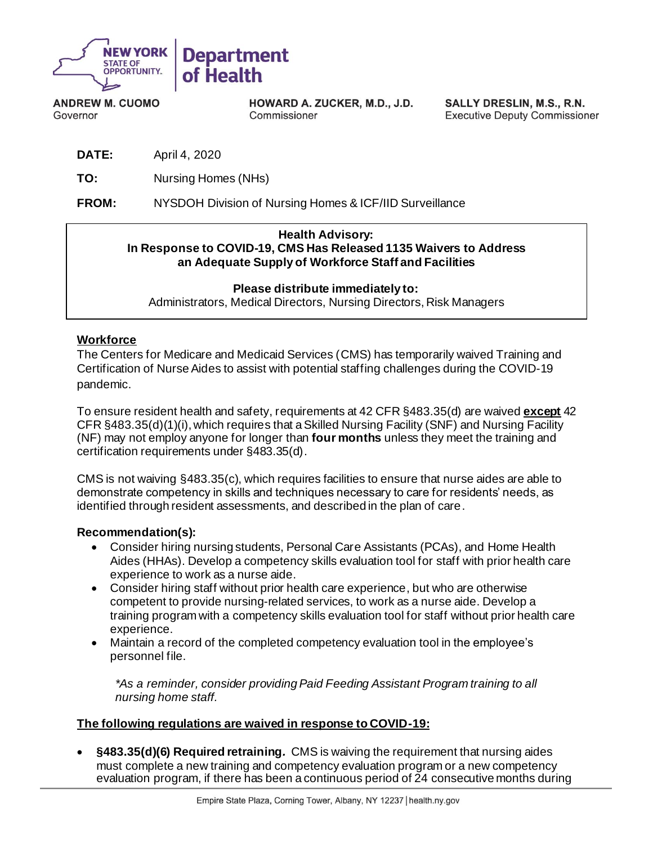

**ANDREW M. CUOMO** Governor

HOWARD A. ZUCKER, M.D., J.D. Commissioner

SALLY DRESLIN, M.S., R.N. **Executive Deputy Commissioner** 

**DATE:** April 4, 2020

**TO:** Nursing Homes (NHs)

**FROM:** NYSDOH Division of Nursing Homes & ICF/IID Surveillance

#### **Health Advisory: In Response to COVID-19, CMS Has Released 1135 Waivers to Address an Adequate Supply of Workforce Staff and Facilities**

**Please distribute immediately to:** Administrators, Medical Directors, Nursing Directors, Risk Managers

### **Workforce**

The Centers for Medicare and Medicaid Services (CMS) has temporarily waived Training and Certification of Nurse Aides to assist with potential staffing challenges during the COVID-19 pandemic.

To ensure resident health and safety, requirements at 42 CFR §483.35(d) are waived **except** 42 CFR §483.35(d)(1)(i), which requires that a Skilled Nursing Facility (SNF) and Nursing Facility (NF) may not employ anyone for longer than **four months** unless they meet the training and certification requirements under §483.35(d).

CMS is not waiving §483.35(c), which requires facilities to ensure that nurse aides are able to demonstrate competency in skills and techniques necessary to care for residents' needs, as identified through resident assessments, and described in the plan of care.

### **Recommendation(s):**

- Consider hiring nursing students, Personal Care Assistants (PCAs), and Home Health Aides (HHAs). Develop a competency skills evaluation tool for staff with prior health care experience to work as a nurse aide.
- Consider hiring staff without prior health care experience, but who are otherwise competent to provide nursing-related services, to work as a nurse aide. Develop a training program with a competency skills evaluation tool for staff without prior health care experience.
- Maintain a record of the completed competency evaluation tool in the employee's personnel file.

*\*As a reminder, consider providing Paid Feeding Assistant Program training to all nursing home staff.*

### **The following regulations are waived in response to COVID-19:**

• **§483.35(d)(6) Required retraining***.* CMS is waiving the requirement that nursing aides must complete a new training and competency evaluation program or a new competency evaluation program, if there has been a continuous period of 24 consecutive months during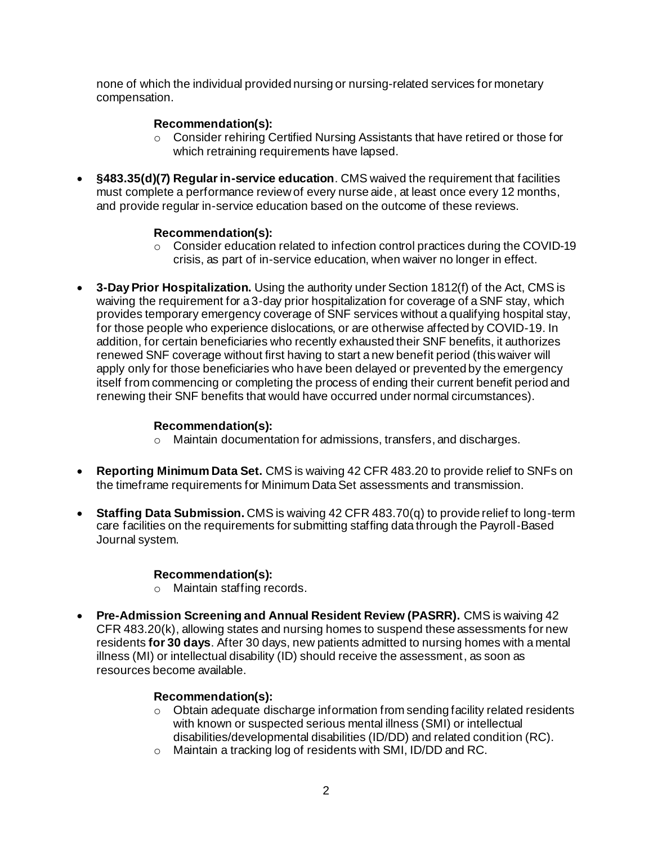none of which the individual provided nursing or nursing-related services for monetary compensation.

### **Recommendation(s):**

- $\circ$  Consider rehiring Certified Nursing Assistants that have retired or those for which retraining requirements have lapsed.
- **§483.35(d)(7) Regular in-service education**. CMS waived the requirement that facilities must complete a performance review of every nurse aide, at least once every 12 months, and provide regular in-service education based on the outcome of these reviews.

### **Recommendation(s):**

- o Consider education related to infection control practices during the COVID-19 crisis, as part of in-service education, when waiver no longer in effect.
- **3-Day Prior Hospitalization.** Using the authority under Section 1812(f) of the Act, CMS is waiving the requirement for a 3-day prior hospitalization for coverage of a SNF stay, which provides temporary emergency coverage of SNF services without a qualifying hospital stay, for those people who experience dislocations, or are otherwise affected by COVID-19. In addition, for certain beneficiaries who recently exhausted their SNF benefits, it authorizes renewed SNF coverage without first having to start a new benefit period (this waiver will apply only for those beneficiaries who have been delayed or prevented by the emergency itself from commencing or completing the process of ending their current benefit period and renewing their SNF benefits that would have occurred under normal circumstances).

## **Recommendation(s):**

- o Maintain documentation for admissions, transfers, and discharges.
- **Reporting Minimum Data Set.** CMS is waiving 42 CFR 483.20 to provide relief to SNFs on the timeframe requirements for Minimum Data Set assessments and transmission.
- **Staffing Data Submission.** CMS is waiving 42 CFR 483.70(q) to provide relief to long-term care facilities on the requirements for submitting staffing data through the Payroll-Based Journal system.

# **Recommendation(s):**

- o Maintain staffing records.
- **Pre-Admission Screening and Annual Resident Review (PASRR).** CMS is waiving 42 CFR 483.20(k), allowing states and nursing homes to suspend these assessments for new residents **for 30 days**. After 30 days, new patients admitted to nursing homes with a mental illness (MI) or intellectual disability (ID) should receive the assessment, as soon as resources become available.

# **Recommendation(s):**

- $\circ$  Obtain adequate discharge information from sending facility related residents with known or suspected serious mental illness (SMI) or intellectual disabilities/developmental disabilities (ID/DD) and related condition (RC).
- o Maintain a tracking log of residents with SMI, ID/DD and RC.